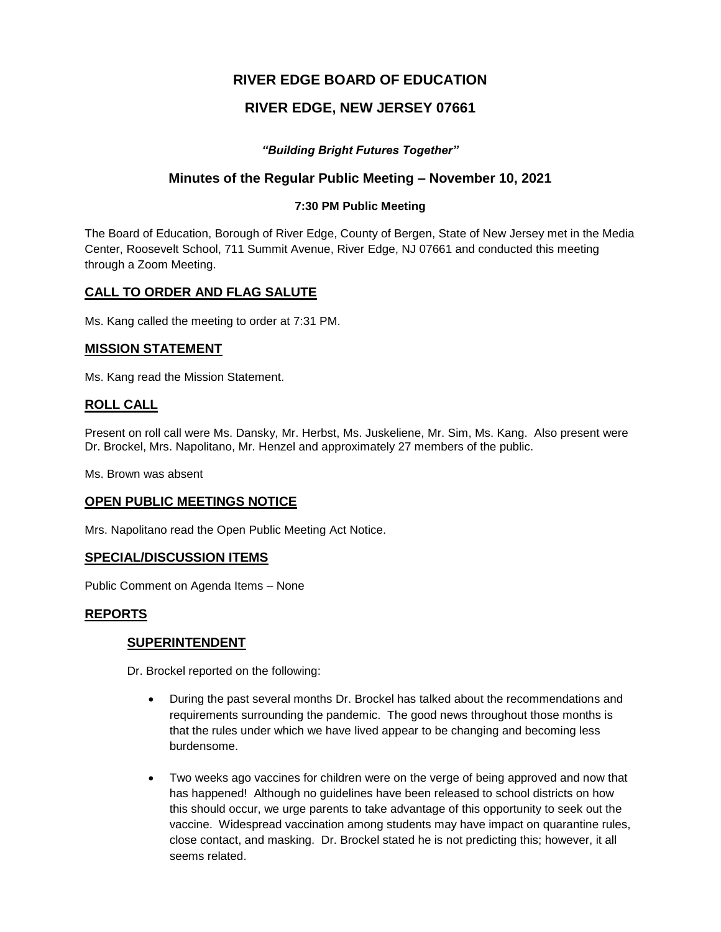# **RIVER EDGE BOARD OF EDUCATION**

# **RIVER EDGE, NEW JERSEY 07661**

## *"Building Bright Futures Together"*

## **Minutes of the Regular Public Meeting – November 10, 2021**

### **7:30 PM Public Meeting**

The Board of Education, Borough of River Edge, County of Bergen, State of New Jersey met in the Media Center, Roosevelt School, 711 Summit Avenue, River Edge, NJ 07661 and conducted this meeting through a Zoom Meeting.

## **CALL TO ORDER AND FLAG SALUTE**

Ms. Kang called the meeting to order at 7:31 PM.

### **MISSION STATEMENT**

Ms. Kang read the Mission Statement.

## **ROLL CALL**

Present on roll call were Ms. Dansky, Mr. Herbst, Ms. Juskeliene, Mr. Sim, Ms. Kang. Also present were Dr. Brockel, Mrs. Napolitano, Mr. Henzel and approximately 27 members of the public.

Ms. Brown was absent

### **OPEN PUBLIC MEETINGS NOTICE**

Mrs. Napolitano read the Open Public Meeting Act Notice.

### **SPECIAL/DISCUSSION ITEMS**

Public Comment on Agenda Items – None

### **REPORTS**

### **SUPERINTENDENT**

Dr. Brockel reported on the following:

- During the past several months Dr. Brockel has talked about the recommendations and requirements surrounding the pandemic. The good news throughout those months is that the rules under which we have lived appear to be changing and becoming less burdensome.
- Two weeks ago vaccines for children were on the verge of being approved and now that has happened! Although no guidelines have been released to school districts on how this should occur, we urge parents to take advantage of this opportunity to seek out the vaccine. Widespread vaccination among students may have impact on quarantine rules, close contact, and masking. Dr. Brockel stated he is not predicting this; however, it all seems related.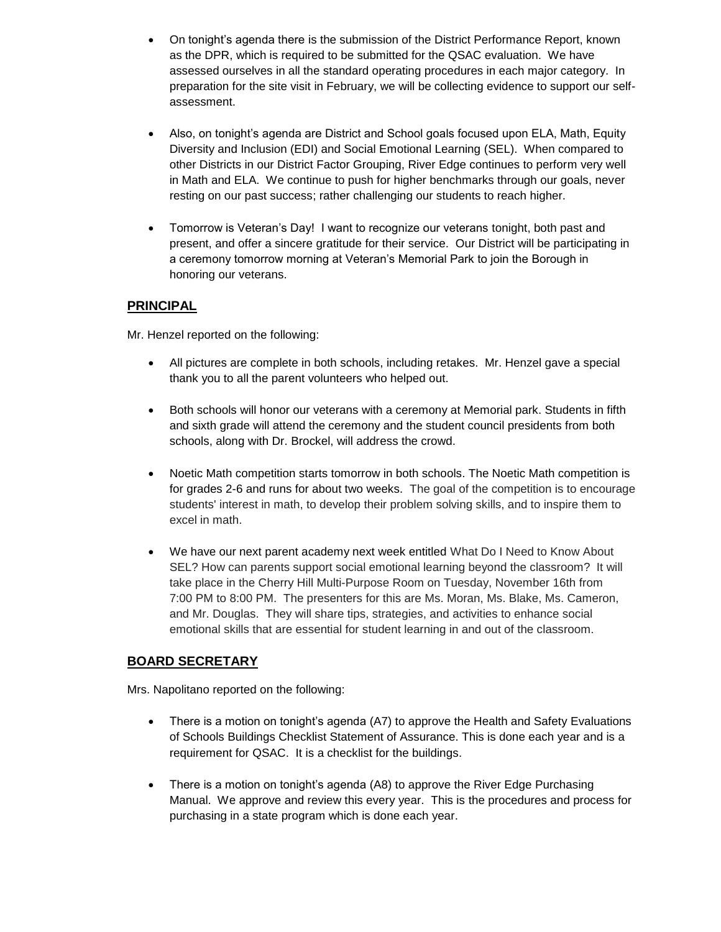- On tonight's agenda there is the submission of the District Performance Report, known as the DPR, which is required to be submitted for the QSAC evaluation. We have assessed ourselves in all the standard operating procedures in each major category. In preparation for the site visit in February, we will be collecting evidence to support our selfassessment.
- Also, on tonight's agenda are District and School goals focused upon ELA, Math, Equity Diversity and Inclusion (EDI) and Social Emotional Learning (SEL). When compared to other Districts in our District Factor Grouping, River Edge continues to perform very well in Math and ELA. We continue to push for higher benchmarks through our goals, never resting on our past success; rather challenging our students to reach higher.
- Tomorrow is Veteran's Day! I want to recognize our veterans tonight, both past and present, and offer a sincere gratitude for their service. Our District will be participating in a ceremony tomorrow morning at Veteran's Memorial Park to join the Borough in honoring our veterans.

# **PRINCIPAL**

Mr. Henzel reported on the following:

- All pictures are complete in both schools, including retakes. Mr. Henzel gave a special thank you to all the parent volunteers who helped out.
- Both schools will honor our veterans with a ceremony at Memorial park. Students in fifth and sixth grade will attend the ceremony and the student council presidents from both schools, along with Dr. Brockel, will address the crowd.
- Noetic Math competition starts tomorrow in both schools. The Noetic Math competition is for grades 2-6 and runs for about two weeks. The goal of the competition is to encourage students' interest in math, to develop their problem solving skills, and to inspire them to excel in math.
- We have our next parent academy next week entitled What Do I Need to Know About SEL? How can parents support social emotional learning beyond the classroom? It will take place in the Cherry Hill Multi-Purpose Room on Tuesday, November 16th from 7:00 PM to 8:00 PM. The presenters for this are Ms. Moran, Ms. Blake, Ms. Cameron, and Mr. Douglas. They will share tips, strategies, and activities to enhance social emotional skills that are essential for student learning in and out of the classroom.

# **BOARD SECRETARY**

Mrs. Napolitano reported on the following:

- There is a motion on tonight's agenda (A7) to approve the Health and Safety Evaluations of Schools Buildings Checklist Statement of Assurance. This is done each year and is a requirement for QSAC. It is a checklist for the buildings.
- There is a motion on tonight's agenda (A8) to approve the River Edge Purchasing Manual. We approve and review this every year. This is the procedures and process for purchasing in a state program which is done each year.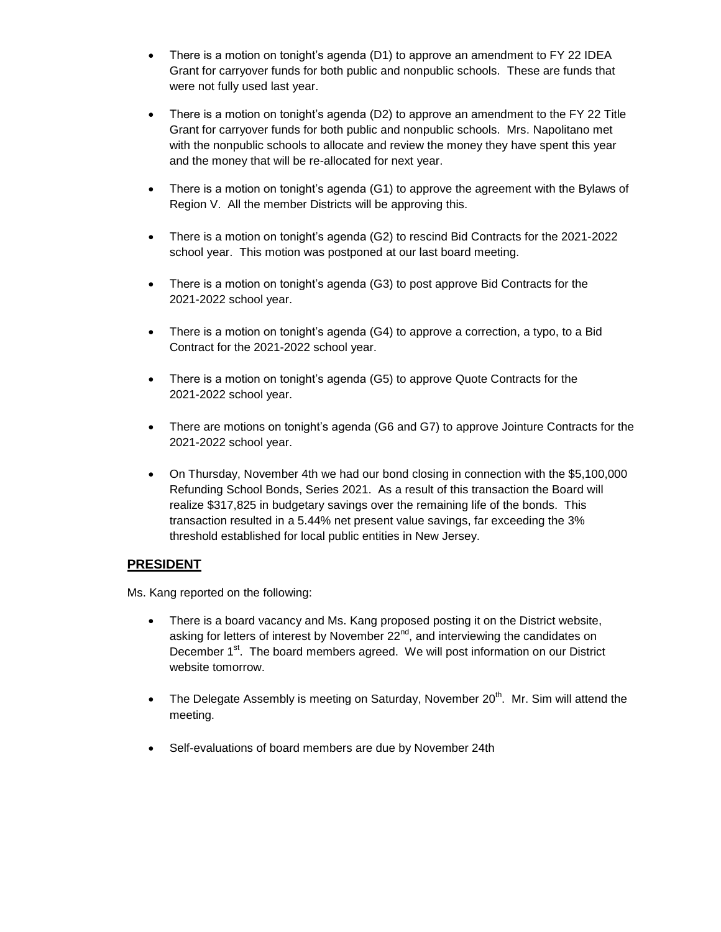- There is a motion on tonight's agenda (D1) to approve an amendment to FY 22 IDEA Grant for carryover funds for both public and nonpublic schools. These are funds that were not fully used last year.
- There is a motion on tonight's agenda (D2) to approve an amendment to the FY 22 Title Grant for carryover funds for both public and nonpublic schools. Mrs. Napolitano met with the nonpublic schools to allocate and review the money they have spent this year and the money that will be re-allocated for next year.
- There is a motion on tonight's agenda (G1) to approve the agreement with the Bylaws of Region V. All the member Districts will be approving this.
- There is a motion on tonight's agenda (G2) to rescind Bid Contracts for the 2021-2022 school year. This motion was postponed at our last board meeting.
- There is a motion on tonight's agenda (G3) to post approve Bid Contracts for the 2021-2022 school year.
- There is a motion on tonight's agenda (G4) to approve a correction, a typo, to a Bid Contract for the 2021-2022 school year.
- There is a motion on tonight's agenda (G5) to approve Quote Contracts for the 2021-2022 school year.
- There are motions on tonight's agenda (G6 and G7) to approve Jointure Contracts for the 2021-2022 school year.
- On Thursday, November 4th we had our bond closing in connection with the \$5,100,000 Refunding School Bonds, Series 2021. As a result of this transaction the Board will realize \$317,825 in budgetary savings over the remaining life of the bonds. This transaction resulted in a 5.44% net present value savings, far exceeding the 3% threshold established for local public entities in New Jersey.

### **PRESIDENT**

Ms. Kang reported on the following:

- There is a board vacancy and Ms. Kang proposed posting it on the District website, asking for letters of interest by November 22<sup>nd</sup>, and interviewing the candidates on December  $1<sup>st</sup>$ . The board members agreed. We will post information on our District website tomorrow.
- The Delegate Assembly is meeting on Saturday, November  $20<sup>th</sup>$ . Mr. Sim will attend the meeting.
- Self-evaluations of board members are due by November 24th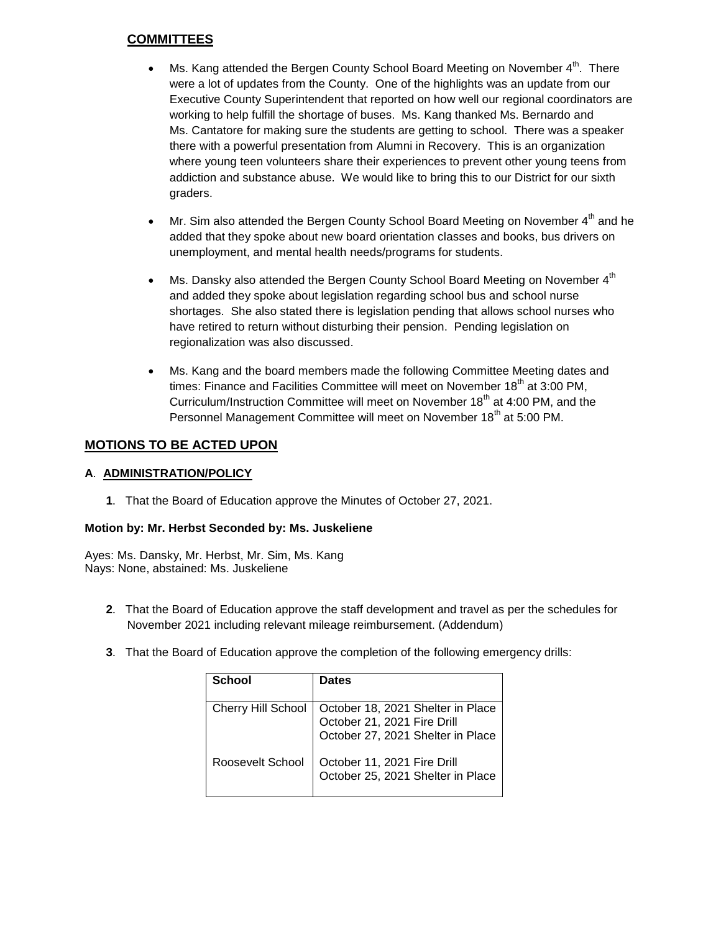# **COMMITTEES**

- Ms. Kang attended the Bergen County School Board Meeting on November  $4<sup>th</sup>$ . There were a lot of updates from the County. One of the highlights was an update from our Executive County Superintendent that reported on how well our regional coordinators are working to help fulfill the shortage of buses. Ms. Kang thanked Ms. Bernardo and Ms. Cantatore for making sure the students are getting to school. There was a speaker there with a powerful presentation from Alumni in Recovery. This is an organization where young teen volunteers share their experiences to prevent other young teens from addiction and substance abuse. We would like to bring this to our District for our sixth graders.
- $\bullet$  Mr. Sim also attended the Bergen County School Board Meeting on November  $4^{th}$  and he added that they spoke about new board orientation classes and books, bus drivers on unemployment, and mental health needs/programs for students.
- Ms. Dansky also attended the Bergen County School Board Meeting on November 4<sup>th</sup> and added they spoke about legislation regarding school bus and school nurse shortages. She also stated there is legislation pending that allows school nurses who have retired to return without disturbing their pension. Pending legislation on regionalization was also discussed.
- Ms. Kang and the board members made the following Committee Meeting dates and times: Finance and Facilities Committee will meet on November 18<sup>th</sup> at 3:00 PM, Curriculum/Instruction Committee will meet on November 18<sup>th</sup> at 4:00 PM, and the Personnel Management Committee will meet on November 18<sup>th</sup> at 5:00 PM.

# **MOTIONS TO BE ACTED UPON**

### **A**. **ADMINISTRATION/POLICY**

**1**. That the Board of Education approve the Minutes of October 27, 2021.

### **Motion by: Mr. Herbst Seconded by: Ms. Juskeliene**

Ayes: Ms. Dansky, Mr. Herbst, Mr. Sim, Ms. Kang Nays: None, abstained: Ms. Juskeliene

- **2**. That the Board of Education approve the staff development and travel as per the schedules for November 2021 including relevant mileage reimbursement. (Addendum)
- **3**. That the Board of Education approve the completion of the following emergency drills:

| School                    | <b>Dates</b>                                                                                          |
|---------------------------|-------------------------------------------------------------------------------------------------------|
| <b>Cherry Hill School</b> | October 18, 2021 Shelter in Place<br>October 21, 2021 Fire Drill<br>October 27, 2021 Shelter in Place |
| Roosevelt School          | October 11, 2021 Fire Drill<br>October 25, 2021 Shelter in Place                                      |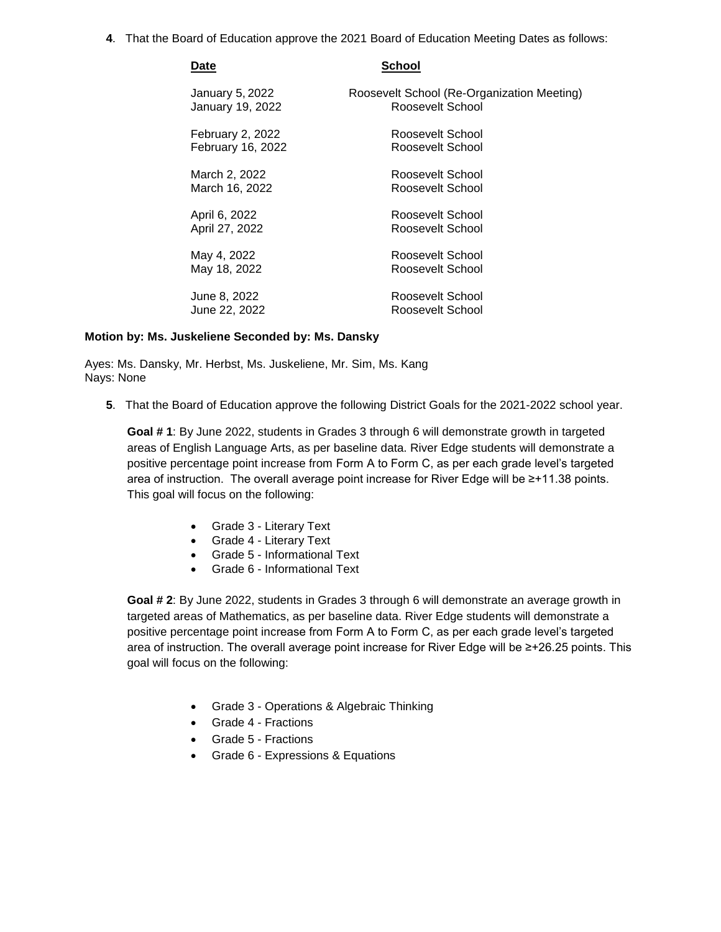**4**. That the Board of Education approve the 2021 Board of Education Meeting Dates as follows:

| Date              | School                                     |
|-------------------|--------------------------------------------|
| January 5, 2022   | Roosevelt School (Re-Organization Meeting) |
| January 19, 2022  | Roosevelt School                           |
| February 2, 2022  | Roosevelt School                           |
| February 16, 2022 | Roosevelt School                           |
| March 2, 2022     | Roosevelt School                           |
| March 16, 2022    | Roosevelt School                           |
| April 6, 2022     | Roosevelt School                           |
| April 27, 2022    | Roosevelt School                           |
| May 4, 2022       | Roosevelt School                           |
| May 18, 2022      | Roosevelt School                           |
| June 8, 2022      | Roosevelt School                           |
| June 22, 2022     | Roosevelt School                           |

#### **Motion by: Ms. Juskeliene Seconded by: Ms. Dansky**

Ayes: Ms. Dansky, Mr. Herbst, Ms. Juskeliene, Mr. Sim, Ms. Kang Nays: None

**5**. That the Board of Education approve the following District Goals for the 2021-2022 school year.

**Goal # 1**: By June 2022, students in Grades 3 through 6 will demonstrate growth in targeted areas of English Language Arts, as per baseline data. River Edge students will demonstrate a positive percentage point increase from Form A to Form C, as per each grade level's targeted area of instruction. The overall average point increase for River Edge will be ≥+11.38 points. This goal will focus on the following:

- Grade 3 Literary Text
- Grade 4 Literary Text
- Grade 5 Informational Text
- Grade 6 Informational Text

**Goal # 2**: By June 2022, students in Grades 3 through 6 will demonstrate an average growth in targeted areas of Mathematics, as per baseline data. River Edge students will demonstrate a positive percentage point increase from Form A to Form C, as per each grade level's targeted area of instruction. The overall average point increase for River Edge will be ≥+26.25 points. This goal will focus on the following:

- Grade 3 Operations & Algebraic Thinking
- Grade 4 Fractions
- Grade 5 Fractions
- Grade 6 Expressions & Equations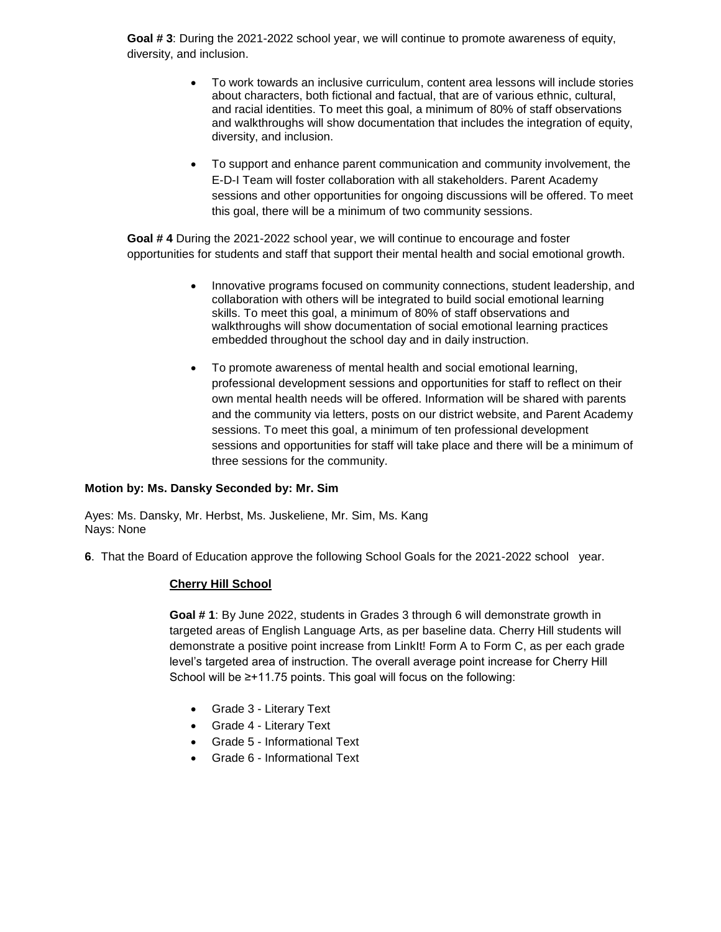**Goal # 3**: During the 2021-2022 school year, we will continue to promote awareness of equity, diversity, and inclusion.

- To work towards an inclusive curriculum, content area lessons will include stories about characters, both fictional and factual, that are of various ethnic, cultural, and racial identities. To meet this goal, a minimum of 80% of staff observations and walkthroughs will show documentation that includes the integration of equity, diversity, and inclusion.
- To support and enhance parent communication and community involvement, the E-D-I Team will foster collaboration with all stakeholders. Parent Academy sessions and other opportunities for ongoing discussions will be offered. To meet this goal, there will be a minimum of two community sessions.

**Goal # 4** During the 2021-2022 school year, we will continue to encourage and foster opportunities for students and staff that support their mental health and social emotional growth.

- Innovative programs focused on community connections, student leadership, and collaboration with others will be integrated to build social emotional learning skills. To meet this goal, a minimum of 80% of staff observations and walkthroughs will show documentation of social emotional learning practices embedded throughout the school day and in daily instruction.
- To promote awareness of mental health and social emotional learning, professional development sessions and opportunities for staff to reflect on their own mental health needs will be offered. Information will be shared with parents and the community via letters, posts on our district website, and Parent Academy sessions. To meet this goal, a minimum of ten professional development sessions and opportunities for staff will take place and there will be a minimum of three sessions for the community.

#### **Motion by: Ms. Dansky Seconded by: Mr. Sim**

Ayes: Ms. Dansky, Mr. Herbst, Ms. Juskeliene, Mr. Sim, Ms. Kang Nays: None

**6**. That the Board of Education approve the following School Goals for the 2021-2022 school year.

#### **Cherry Hill School**

**Goal # 1**: By June 2022, students in Grades 3 through 6 will demonstrate growth in targeted areas of English Language Arts, as per baseline data. Cherry Hill students will demonstrate a positive point increase from LinkIt! Form A to Form C, as per each grade level's targeted area of instruction. The overall average point increase for Cherry Hill School will be ≥+11.75 points. This goal will focus on the following:

- Grade 3 Literary Text
- Grade 4 Literary Text
- Grade 5 Informational Text
- Grade 6 Informational Text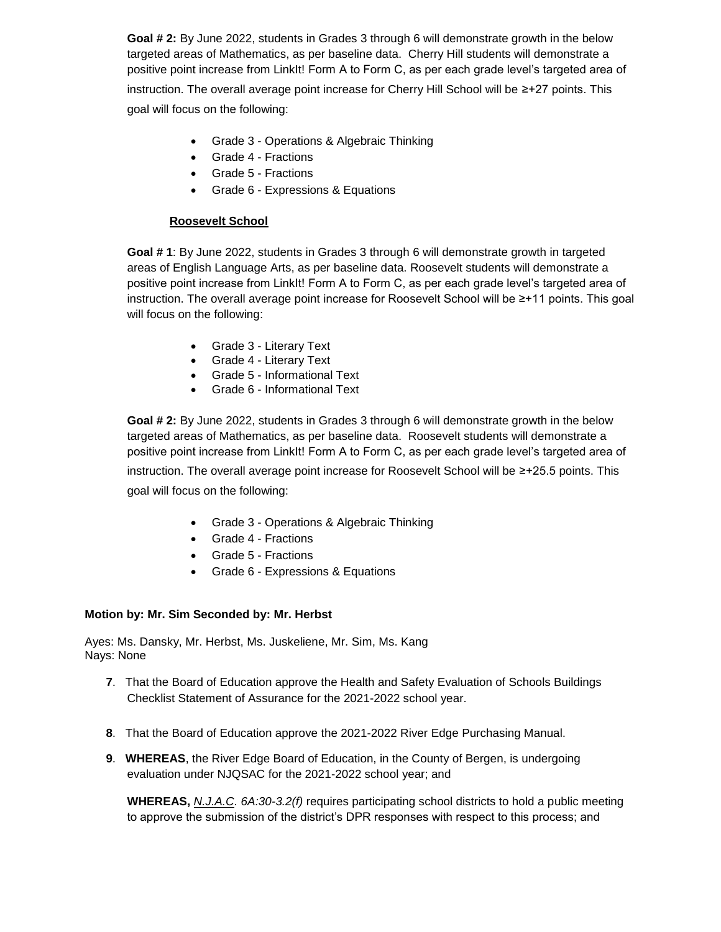**Goal # 2:** By June 2022, students in Grades 3 through 6 will demonstrate growth in the below targeted areas of Mathematics, as per baseline data. Cherry Hill students will demonstrate a positive point increase from LinkIt! Form A to Form C, as per each grade level's targeted area of instruction. The overall average point increase for Cherry Hill School will be ≥+27 points. This goal will focus on the following:

- Grade 3 Operations & Algebraic Thinking
- Grade 4 Fractions
- Grade 5 Fractions
- Grade 6 Expressions & Equations

### **Roosevelt School**

**Goal # 1**: By June 2022, students in Grades 3 through 6 will demonstrate growth in targeted areas of English Language Arts, as per baseline data. Roosevelt students will demonstrate a positive point increase from LinkIt! Form A to Form C, as per each grade level's targeted area of instruction. The overall average point increase for Roosevelt School will be ≥+11 points. This goal will focus on the following:

- Grade 3 Literary Text
- Grade 4 Literary Text
- Grade 5 Informational Text
- Grade 6 Informational Text

**Goal # 2:** By June 2022, students in Grades 3 through 6 will demonstrate growth in the below targeted areas of Mathematics, as per baseline data. Roosevelt students will demonstrate a positive point increase from LinkIt! Form A to Form C, as per each grade level's targeted area of instruction. The overall average point increase for Roosevelt School will be ≥+25.5 points. This goal will focus on the following:

- Grade 3 Operations & Algebraic Thinking
- Grade 4 Fractions
- Grade 5 Fractions
- Grade 6 Expressions & Equations

#### **Motion by: Mr. Sim Seconded by: Mr. Herbst**

Ayes: Ms. Dansky, Mr. Herbst, Ms. Juskeliene, Mr. Sim, Ms. Kang Nays: None

- **7**. That the Board of Education approve the Health and Safety Evaluation of Schools Buildings Checklist Statement of Assurance for the 2021-2022 school year.
- **8**. That the Board of Education approve the 2021-2022 River Edge Purchasing Manual.
- **9**. **WHEREAS**, the River Edge Board of Education, in the County of Bergen, is undergoing evaluation under NJQSAC for the 2021-2022 school year; and

**WHEREAS,** *N.J.A.C. 6A:30-3.2(f)* requires participating school districts to hold a public meeting to approve the submission of the district's DPR responses with respect to this process; and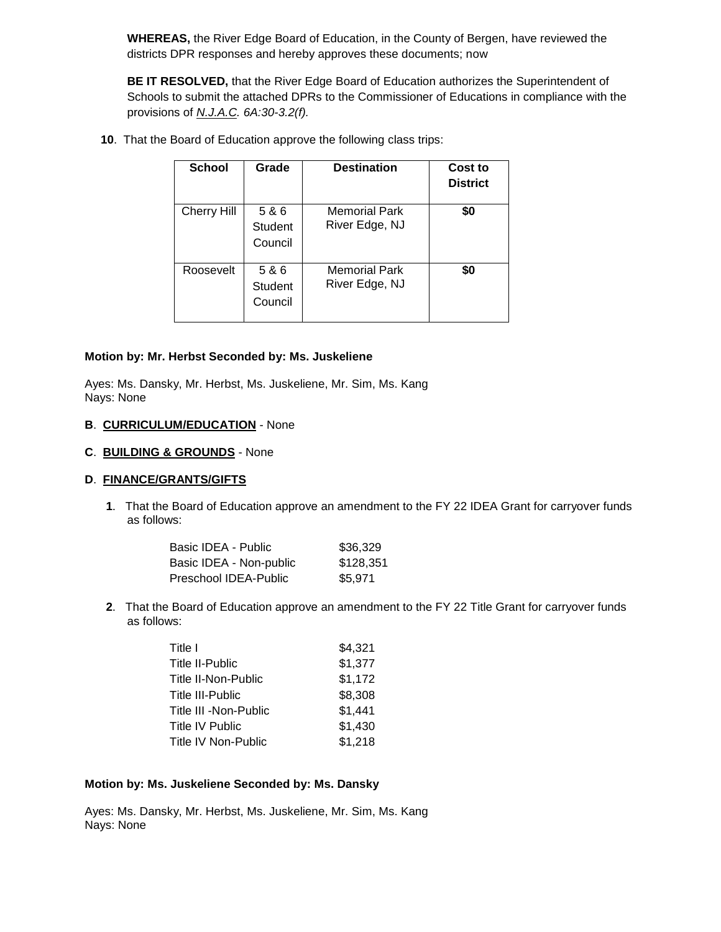**WHEREAS,** the River Edge Board of Education, in the County of Bergen, have reviewed the districts DPR responses and hereby approves these documents; now

**BE IT RESOLVED,** that the River Edge Board of Education authorizes the Superintendent of Schools to submit the attached DPRs to the Commissioner of Educations in compliance with the provisions of *N.J.A.C. 6A:30-3.2(f).*

**10**. That the Board of Education approve the following class trips:

| School             | Grade                       | <b>Destination</b>                     | Cost to<br><b>District</b> |
|--------------------|-----------------------------|----------------------------------------|----------------------------|
| <b>Cherry Hill</b> | 5 & 6<br>Student<br>Council | <b>Memorial Park</b><br>River Edge, NJ | \$0                        |
| Roosevelt          | 5 & 6<br>Student<br>Council | <b>Memorial Park</b><br>River Edge, NJ | \$0                        |

#### **Motion by: Mr. Herbst Seconded by: Ms. Juskeliene**

Ayes: Ms. Dansky, Mr. Herbst, Ms. Juskeliene, Mr. Sim, Ms. Kang Nays: None

#### **B**. **CURRICULUM/EDUCATION** - None

#### **C**. **BUILDING & GROUNDS** - None

### **D**. **FINANCE/GRANTS/GIFTS**

**1**. That the Board of Education approve an amendment to the FY 22 IDEA Grant for carryover funds as follows:

| Basic IDEA - Public     | \$36,329  |
|-------------------------|-----------|
| Basic IDEA - Non-public | \$128,351 |
| Preschool IDEA-Public   | \$5.971   |

**2**. That the Board of Education approve an amendment to the FY 22 Title Grant for carryover funds as follows:

| Title I               | \$4,321 |
|-----------------------|---------|
| Title II-Public       | \$1,377 |
| Title II-Non-Public   | \$1,172 |
| Title III-Public      | \$8,308 |
| Title III -Non-Public | \$1,441 |
| Title IV Public       | \$1,430 |
| Title IV Non-Public   | \$1,218 |
|                       |         |

## **Motion by: Ms. Juskeliene Seconded by: Ms. Dansky**

Ayes: Ms. Dansky, Mr. Herbst, Ms. Juskeliene, Mr. Sim, Ms. Kang Nays: None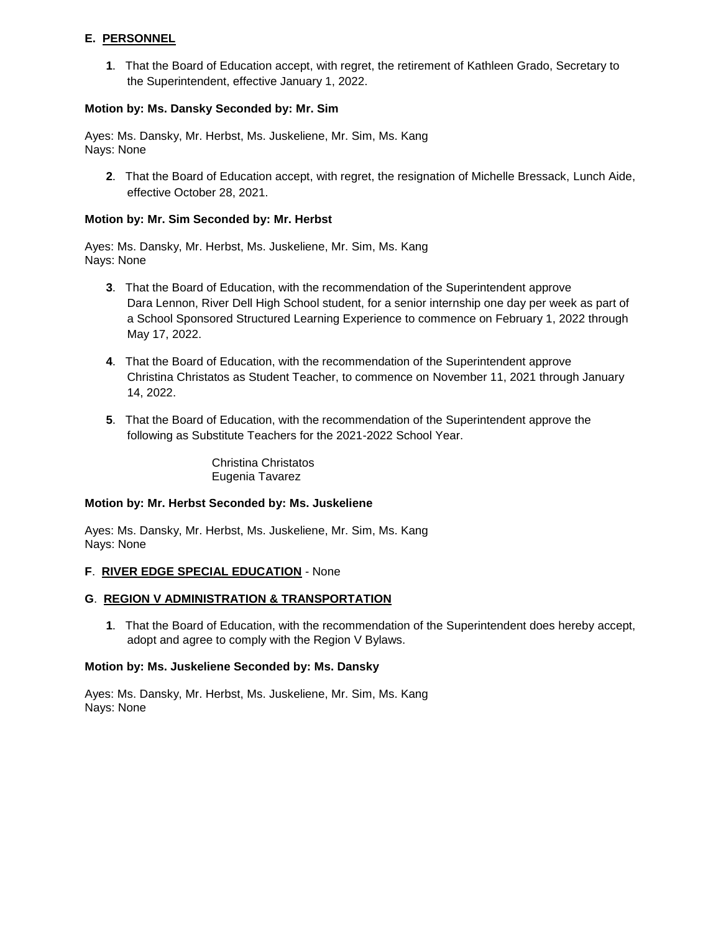## **E. PERSONNEL**

**1**. That the Board of Education accept, with regret, the retirement of Kathleen Grado, Secretary to the Superintendent, effective January 1, 2022.

#### **Motion by: Ms. Dansky Seconded by: Mr. Sim**

Ayes: Ms. Dansky, Mr. Herbst, Ms. Juskeliene, Mr. Sim, Ms. Kang Nays: None

**2**. That the Board of Education accept, with regret, the resignation of Michelle Bressack, Lunch Aide, effective October 28, 2021.

#### **Motion by: Mr. Sim Seconded by: Mr. Herbst**

Ayes: Ms. Dansky, Mr. Herbst, Ms. Juskeliene, Mr. Sim, Ms. Kang Nays: None

- **3**. That the Board of Education, with the recommendation of the Superintendent approve Dara Lennon, River Dell High School student, for a senior internship one day per week as part of a School Sponsored Structured Learning Experience to commence on February 1, 2022 through May 17, 2022.
- **4**. That the Board of Education, with the recommendation of the Superintendent approve Christina Christatos as Student Teacher, to commence on November 11, 2021 through January 14, 2022.
- **5**. That the Board of Education, with the recommendation of the Superintendent approve the following as Substitute Teachers for the 2021-2022 School Year.

Christina Christatos Eugenia Tavarez

#### **Motion by: Mr. Herbst Seconded by: Ms. Juskeliene**

Ayes: Ms. Dansky, Mr. Herbst, Ms. Juskeliene, Mr. Sim, Ms. Kang Nays: None

### **F**. **RIVER EDGE SPECIAL EDUCATION** - None

### **G**. **REGION V ADMINISTRATION & TRANSPORTATION**

**1**. That the Board of Education, with the recommendation of the Superintendent does hereby accept, adopt and agree to comply with the Region V Bylaws.

#### **Motion by: Ms. Juskeliene Seconded by: Ms. Dansky**

Ayes: Ms. Dansky, Mr. Herbst, Ms. Juskeliene, Mr. Sim, Ms. Kang Nays: None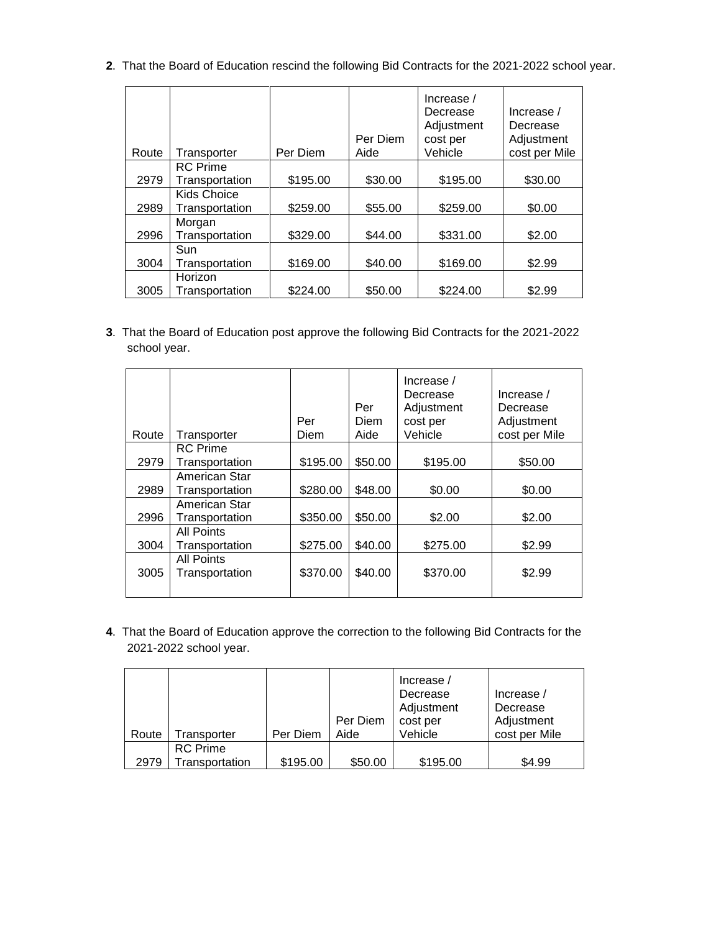**2**. That the Board of Education rescind the following Bid Contracts for the 2021-2022 school year.

| Route | Transporter     | Per Diem | Per Diem<br>Aide | Increase $/$<br>Decrease<br>Adjustment<br>cost per<br>Vehicle | Increase /<br>Decrease<br>Adjustment<br>cost per Mile |
|-------|-----------------|----------|------------------|---------------------------------------------------------------|-------------------------------------------------------|
|       | <b>RC</b> Prime |          |                  |                                                               |                                                       |
| 2979  | Transportation  | \$195.00 | \$30.00          | \$195.00                                                      | \$30.00                                               |
|       | Kids Choice     |          |                  |                                                               |                                                       |
| 2989  | Transportation  | \$259.00 | \$55.00          | \$259.00                                                      | \$0.00                                                |
|       | Morgan          |          |                  |                                                               |                                                       |
| 2996  | Transportation  | \$329.00 | \$44.00          | \$331.00                                                      | \$2.00                                                |
|       | Sun             |          |                  |                                                               |                                                       |
| 3004  | Transportation  | \$169.00 | \$40.00          | \$169.00                                                      | \$2.99                                                |
|       | Horizon         |          |                  |                                                               |                                                       |
| 3005  | Transportation  | \$224.00 | \$50.00          | \$224.00                                                      | \$2.99                                                |

**3**. That the Board of Education post approve the following Bid Contracts for the 2021-2022 school year.

| Route | Transporter                         | Per<br>Diem | Per<br><b>Diem</b><br>Aide | Increase /<br>Decrease<br>Adjustment<br>cost per<br>Vehicle | Increase /<br>Decrease<br>Adjustment<br>cost per Mile |
|-------|-------------------------------------|-------------|----------------------------|-------------------------------------------------------------|-------------------------------------------------------|
|       | <b>RC</b> Prime                     |             |                            |                                                             |                                                       |
| 2979  | Transportation                      | \$195.00    | \$50.00                    | \$195.00                                                    | \$50.00                                               |
|       | American Star                       |             |                            |                                                             |                                                       |
| 2989  | Transportation                      | \$280.00    | \$48.00                    | \$0.00                                                      | \$0.00                                                |
| 2996  | American Star<br>Transportation     | \$350.00    | \$50.00                    | \$2.00                                                      | \$2.00                                                |
|       | <b>All Points</b>                   |             |                            |                                                             |                                                       |
| 3004  | Transportation                      | \$275.00    | \$40.00                    | \$275.00                                                    | \$2.99                                                |
| 3005  | <b>All Points</b><br>Transportation | \$370.00    | \$40.00                    | \$370.00                                                    | \$2.99                                                |

**4**. That the Board of Education approve the correction to the following Bid Contracts for the 2021-2022 school year.

|       |                                   |          | Per Diem | Increase /<br>Decrease<br>Adjustment<br>cost per | Increase /<br>Decrease<br>Adjustment |
|-------|-----------------------------------|----------|----------|--------------------------------------------------|--------------------------------------|
| Route | Transporter                       | Per Diem | Aide     | Vehicle                                          | cost per Mile                        |
| 2979  | <b>RC</b> Prime<br>Transportation | \$195.00 | \$50.00  | \$195.00                                         | \$4.99                               |